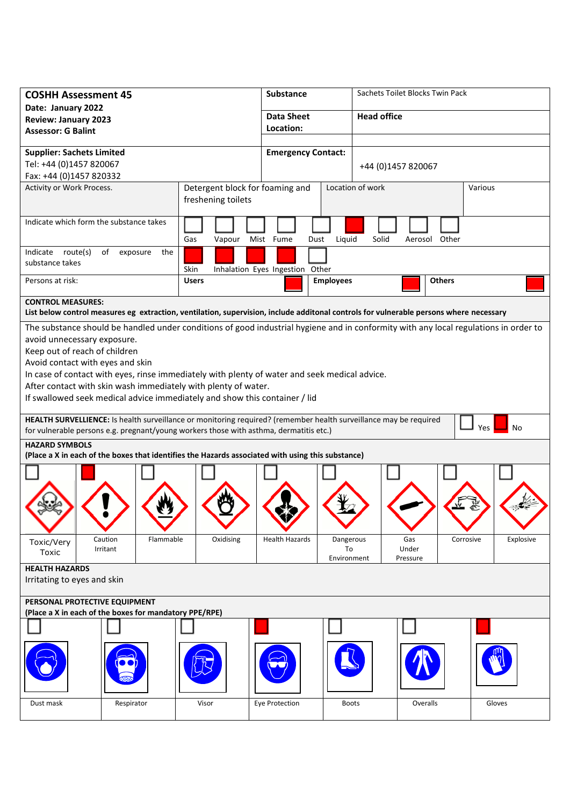| <b>COSHH Assessment 45</b>                                                                                                                                                                                               |                       |                                                       | <b>Substance</b>          |                                | Sachets Toilet Blocks Twin Pack |                                                                                                                                      |  |
|--------------------------------------------------------------------------------------------------------------------------------------------------------------------------------------------------------------------------|-----------------------|-------------------------------------------------------|---------------------------|--------------------------------|---------------------------------|--------------------------------------------------------------------------------------------------------------------------------------|--|
| Date: January 2022                                                                                                                                                                                                       |                       |                                                       | <b>Data Sheet</b>         |                                | <b>Head office</b>              |                                                                                                                                      |  |
| <b>Review: January 2023</b>                                                                                                                                                                                              |                       |                                                       | Location:                 |                                |                                 |                                                                                                                                      |  |
| <b>Assessor: G Balint</b>                                                                                                                                                                                                |                       |                                                       |                           |                                |                                 |                                                                                                                                      |  |
| <b>Supplier: Sachets Limited</b>                                                                                                                                                                                         |                       |                                                       | <b>Emergency Contact:</b> |                                |                                 |                                                                                                                                      |  |
| Tel: +44 (0)1457 820067                                                                                                                                                                                                  |                       |                                                       |                           | +44 (0)1457 820067             |                                 |                                                                                                                                      |  |
| Fax: +44 (0)1457 820332                                                                                                                                                                                                  |                       |                                                       |                           |                                |                                 |                                                                                                                                      |  |
| Activity or Work Process.                                                                                                                                                                                                |                       | Detergent block for foaming and<br>freshening toilets |                           | Location of work               |                                 | Various                                                                                                                              |  |
| Indicate which form the substance takes                                                                                                                                                                                  |                       | Gas<br>Vapour                                         | Mist Fume<br>Dust         | Liquid                         | Solid<br>Aerosol Other          |                                                                                                                                      |  |
| route(s)<br>of exposure<br>Indicate<br>the<br>substance takes<br>Skin<br>Inhalation Eyes Ingestion Other                                                                                                                 |                       |                                                       |                           |                                |                                 |                                                                                                                                      |  |
| Persons at risk:                                                                                                                                                                                                         |                       | <b>Users</b>                                          |                           | <b>Employees</b>               | <b>Others</b>                   |                                                                                                                                      |  |
| <b>CONTROL MEASURES:</b><br>List below control measures eg extraction, ventilation, supervision, include additonal controls for vulnerable persons where necessary                                                       |                       |                                                       |                           |                                |                                 |                                                                                                                                      |  |
|                                                                                                                                                                                                                          |                       |                                                       |                           |                                |                                 | The substance should be handled under conditions of good industrial hygiene and in conformity with any local regulations in order to |  |
| avoid unnecessary exposure.                                                                                                                                                                                              |                       |                                                       |                           |                                |                                 |                                                                                                                                      |  |
| Keep out of reach of children                                                                                                                                                                                            |                       |                                                       |                           |                                |                                 |                                                                                                                                      |  |
| Avoid contact with eyes and skin                                                                                                                                                                                         |                       |                                                       |                           |                                |                                 |                                                                                                                                      |  |
| In case of contact with eyes, rinse immediately with plenty of water and seek medical advice.                                                                                                                            |                       |                                                       |                           |                                |                                 |                                                                                                                                      |  |
| After contact with skin wash immediately with plenty of water.                                                                                                                                                           |                       |                                                       |                           |                                |                                 |                                                                                                                                      |  |
| If swallowed seek medical advice immediately and show this container / lid                                                                                                                                               |                       |                                                       |                           |                                |                                 |                                                                                                                                      |  |
| HEALTH SURVELLIENCE: Is health surveillance or monitoring required? (remember health surveillance may be required<br>Yes<br>No<br>for vulnerable persons e.g. pregnant/young workers those with asthma, dermatitis etc.) |                       |                                                       |                           |                                |                                 |                                                                                                                                      |  |
| <b>HAZARD SYMBOLS</b><br>(Place a X in each of the boxes that identifies the Hazards associated with using this substance)                                                                                               |                       |                                                       |                           |                                |                                 |                                                                                                                                      |  |
|                                                                                                                                                                                                                          |                       |                                                       |                           |                                |                                 |                                                                                                                                      |  |
|                                                                                                                                                                                                                          |                       |                                                       |                           |                                |                                 |                                                                                                                                      |  |
|                                                                                                                                                                                                                          |                       |                                                       |                           |                                |                                 |                                                                                                                                      |  |
|                                                                                                                                                                                                                          |                       |                                                       |                           |                                |                                 |                                                                                                                                      |  |
|                                                                                                                                                                                                                          |                       |                                                       |                           |                                |                                 |                                                                                                                                      |  |
|                                                                                                                                                                                                                          |                       |                                                       |                           |                                |                                 |                                                                                                                                      |  |
| Caution<br>Toxic/Very<br>Toxic                                                                                                                                                                                           | Flammable<br>Irritant | Oxidising                                             | <b>Health Hazards</b>     | Dangerous<br>To<br>Environment | Gas<br>Under<br>Pressure        | Explosive<br>Corrosive                                                                                                               |  |
| <b>HEALTH HAZARDS</b>                                                                                                                                                                                                    |                       |                                                       |                           |                                |                                 |                                                                                                                                      |  |
| Irritating to eyes and skin                                                                                                                                                                                              |                       |                                                       |                           |                                |                                 |                                                                                                                                      |  |
| PERSONAL PROTECTIVE EQUIPMENT<br>(Place a X in each of the boxes for mandatory PPE/RPE)                                                                                                                                  |                       |                                                       |                           |                                |                                 |                                                                                                                                      |  |
|                                                                                                                                                                                                                          |                       |                                                       |                           |                                |                                 |                                                                                                                                      |  |
|                                                                                                                                                                                                                          |                       |                                                       |                           |                                |                                 |                                                                                                                                      |  |
|                                                                                                                                                                                                                          |                       |                                                       |                           |                                |                                 |                                                                                                                                      |  |
| Dust mask                                                                                                                                                                                                                | Respirator            | Visor                                                 | Eye Protection            | <b>Boots</b>                   | Overalls                        | Gloves                                                                                                                               |  |